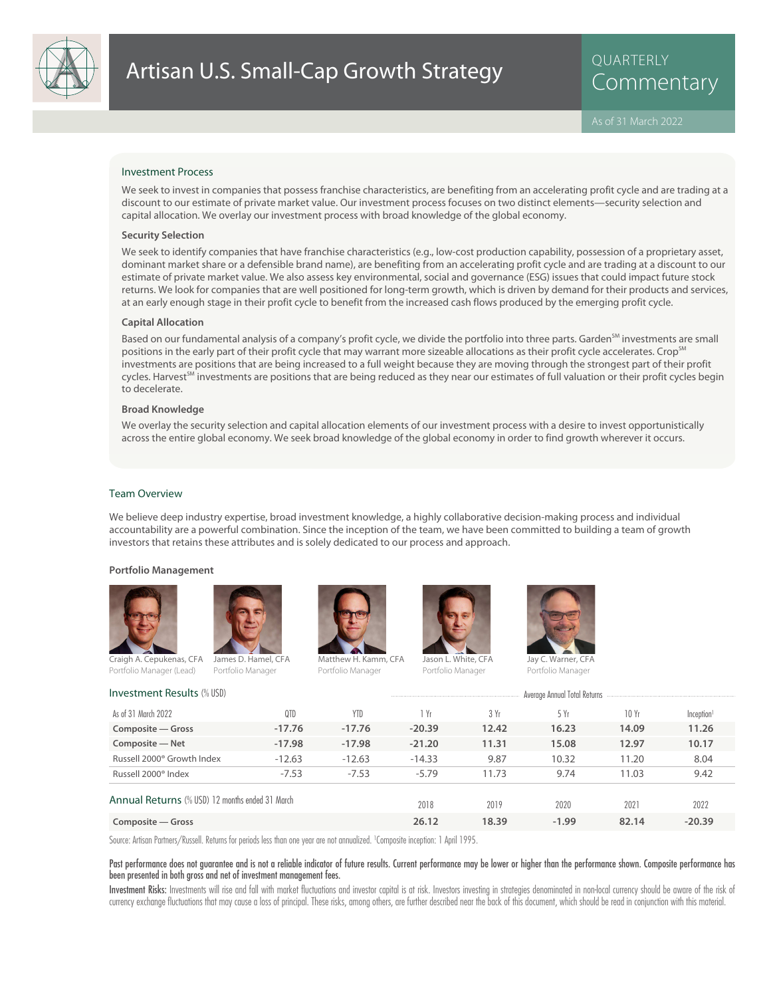

QUARTERLY

## Investment Process

We seek to invest in companies that possess franchise characteristics, are benefiting from an accelerating profit cycle and are trading at a discount to our estimate of private market value. Our investment process focuses on two distinct elements—security selection and capital allocation. We overlay our investment process with broad knowledge of the global economy.

### **Security Selection**

We seek to identify companies that have franchise characteristics (e.g., low-cost production capability, possession of a proprietary asset, dominant market share or a defensible brand name), are benefiting from an accelerating profit cycle and are trading at a discount to our estimate of private market value. We also assess key environmental, social and governance (ESG) issues that could impact future stock returns. We look for companies that are well positioned for long-term growth, which is driven by demand for their products and services, at an early enough stage in their profit cycle to benefit from the increased cash flows produced by the emerging profit cycle.

## **Capital Allocation**

Based on our fundamental analysis of a company's profit cycle, we divide the portfolio into three parts. Garden<sup>SM</sup> investments are small positions in the early part of their profit cycle that may warrant more sizeable allocations as their profit cycle accelerates. Crop<sup>SM</sup> investments are positions that are being increased to a full weight because they are moving through the strongest part of their profit cycles. Harvest<sup>SM</sup> investments are positions that are being reduced as they near our estimates of full valuation or their profit cycles begin to decelerate.

# **Broad Knowledge**

We overlay the security selection and capital allocation elements of our investment process with a desire to invest opportunistically across the entire global economy. We seek broad knowledge of the global economy in order to find growth wherever it occurs.

### Team Overview

We believe deep industry expertise, broad investment knowledge, a highly collaborative decision-making process and individual accountability are a powerful combination. Since the inception of the team, we have been committed to building a team of growth investors that retains these attributes and is solely dedicated to our process and approach.

#### **Portfolio Management**







Portfolio Manager

Jason L. White, CFA

Portfolio Manager



Portfolio Manager

Investment Results (% USD) and the Contract Results (% USD) and the Contract Annual Total Returns Average Annual Total Returns Russell 2000® Index -7.53 -7.53 -7.53 -5.79 11.73 9.74 11.03 9.42 Russell 2000<sup>®</sup> Growth Index -12.63 -12.63 -14.33 9.87 10.32 11.20 8.04 **Composite — Net -17.98 -17.98 -21.20 11.31 15.08 12.97 10.17 Composite — Gross -17.76 -17.76 -20.39 12.42 16.23 14.09 11.26** Inception As of 31 March 2022 QTD YTD 1 Yr 3 Yr 5 Yr 10 Yr Annual Returns (% USD) 12 months ended 31 March **Composite — Gross 26.12 18.39 -1.99 82.14 -20.39** 2018 2019 2020 2021 2022

Source: Artisan Partners/Russell. Returns for periods less than one year are not annualized. <sup>1</sup> Composite inception: 1 April 1995.

## Past performance does not guarantee and is not a reliable indicator of future results. Current performance may be lower or higher than the performance shown. Composite performance has been presented in both gross and net of investment management fees.

Investment Risks: Investments will rise and fall with market fluctuations and investor capital is at risk. Investors investing in strategies denominated in non-local currency should be aware of the risk of currency exchange fluctuations that may cause a loss of principal. These risks, among others, are further described near the back of this document, which should be read in conjunction with this material.

Craigh A. Cepukenas, CFA Portfolio Manager (Lead) Portfolio Manager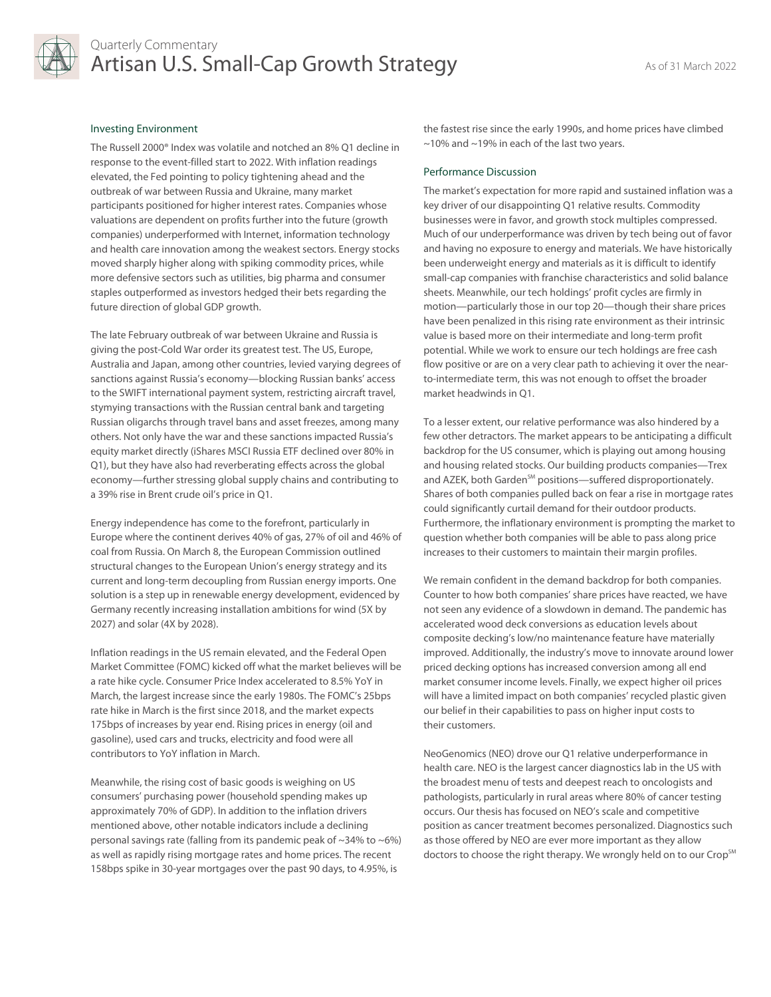

# Investing Environment

The Russell 2000® Index was volatile and notched an 8% Q1 decline in response to the event-filled start to 2022. With inflation readings elevated, the Fed pointing to policy tightening ahead and the outbreak of war between Russia and Ukraine, many market participants positioned for higher interest rates. Companies whose valuations are dependent on profits further into the future (growth companies) underperformed with Internet, information technology and health care innovation among the weakest sectors. Energy stocks moved sharply higher along with spiking commodity prices, while more defensive sectors such as utilities, big pharma and consumer staples outperformed as investors hedged their bets regarding the future direction of global GDP growth.

The late February outbreak of war between Ukraine and Russia is giving the post-Cold War order its greatest test. The US, Europe, Australia and Japan, among other countries, levied varying degrees of sanctions against Russia's economy—blocking Russian banks' access to the SWIFT international payment system, restricting aircraft travel, stymying transactions with the Russian central bank and targeting Russian oligarchs through travel bans and asset freezes, among many others. Not only have the war and these sanctions impacted Russia's equity market directly (iShares MSCI Russia ETF declined over 80% in Q1), but they have also had reverberating effects across the global economy—further stressing global supply chains and contributing to a 39% rise in Brent crude oil's price in Q1.

Energy independence has come to the forefront, particularly in Europe where the continent derives 40% of gas, 27% of oil and 46% of coal from Russia. On March 8, the European Commission outlined structural changes to the European Union's energy strategy and its current and long-term decoupling from Russian energy imports. One solution is a step up in renewable energy development, evidenced by Germany recently increasing installation ambitions for wind (5X by 2027) and solar (4X by 2028).

Inflation readings in the US remain elevated, and the Federal Open Market Committee (FOMC) kicked off what the market believes will be a rate hike cycle. Consumer Price Index accelerated to 8.5% YoY in March, the largest increase since the early 1980s. The FOMC's 25bps rate hike in March is the first since 2018, and the market expects 175bps of increases by year end. Rising prices in energy (oil and gasoline), used cars and trucks, electricity and food were all contributors to YoY inflation in March.

Meanwhile, the rising cost of basic goods is weighing on US consumers' purchasing power (household spending makes up approximately 70% of GDP). In addition to the inflation drivers mentioned above, other notable indicators include a declining personal savings rate (falling from its pandemic peak of  $\sim$ 34% to  $\sim$ 6%) as well as rapidly rising mortgage rates and home prices. The recent 158bps spike in 30-year mortgages over the past 90 days, to 4.95%, is

the fastest rise since the early 1990s, and home prices have climbed ~10% and ~19% in each of the last two years.

# Performance Discussion

The market's expectation for more rapid and sustained inflation was a key driver of our disappointing Q1 relative results. Commodity businesses were in favor, and growth stock multiples compressed. Much of our underperformance was driven by tech being out of favor and having no exposure to energy and materials. We have historically been underweight energy and materials as it is difficult to identify small-cap companies with franchise characteristics and solid balance sheets. Meanwhile, our tech holdings' profit cycles are firmly in motion—particularly those in our top 20—though their share prices have been penalized in this rising rate environment as their intrinsic value is based more on their intermediate and long-term profit potential. While we work to ensure our tech holdings are free cash flow positive or are on a very clear path to achieving it over the nearto-intermediate term, this was not enough to offset the broader market headwinds in Q1.

To a lesser extent, our relative performance was also hindered by a few other detractors. The market appears to be anticipating a difficult backdrop for the US consumer, which is playing out among housing and housing related stocks. Our building products companies—Trex and AZEK, both Garden<sup>SM</sup> positions—suffered disproportionately. Shares of both companies pulled back on fear a rise in mortgage rates could significantly curtail demand for their outdoor products. Furthermore, the inflationary environment is prompting the market to question whether both companies will be able to pass along price increases to their customers to maintain their margin profiles.

We remain confident in the demand backdrop for both companies. Counter to how both companies' share prices have reacted, we have not seen any evidence of a slowdown in demand. The pandemic has accelerated wood deck conversions as education levels about composite decking's low/no maintenance feature have materially improved. Additionally, the industry's move to innovate around lower priced decking options has increased conversion among all end market consumer income levels. Finally, we expect higher oil prices will have a limited impact on both companies' recycled plastic given our belief in their capabilities to pass on higher input costs to their customers.

NeoGenomics (NEO) drove our Q1 relative underperformance in health care. NEO is the largest cancer diagnostics lab in the US with the broadest menu of tests and deepest reach to oncologists and pathologists, particularly in rural areas where 80% of cancer testing occurs. Our thesis has focused on NEO's scale and competitive position as cancer treatment becomes personalized. Diagnostics such as those offered by NEO are ever more important as they allow doctors to choose the right therapy. We wrongly held on to our Crop<sup>SM</sup>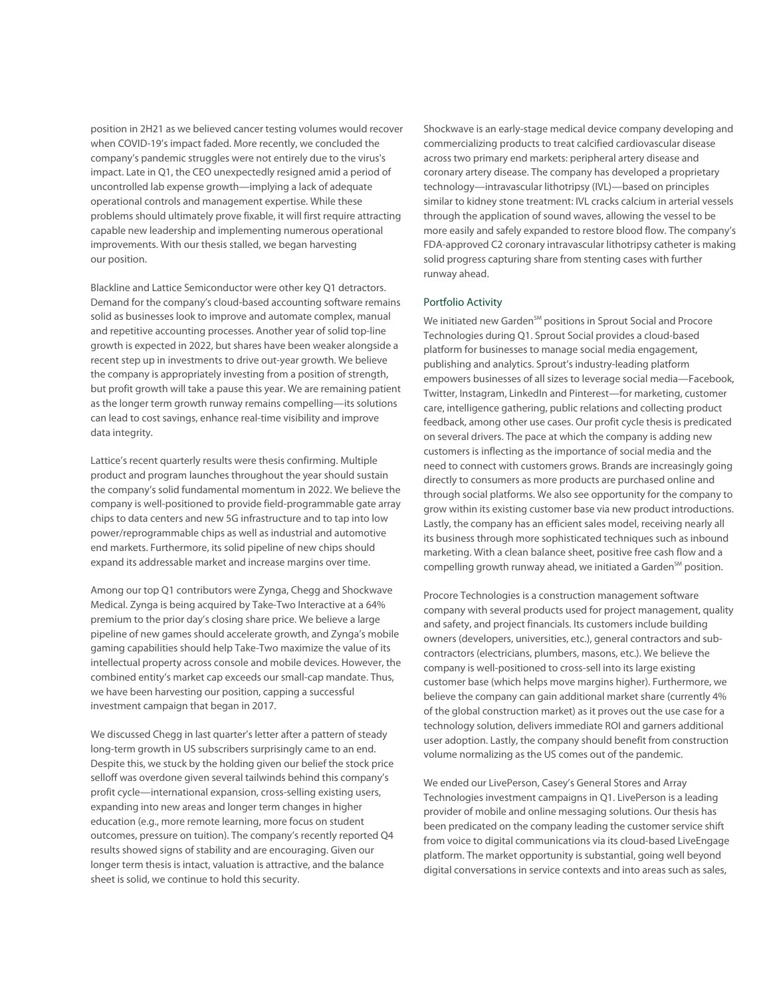position in 2H21 as we believed cancer testing volumes would recover when COVID-19's impact faded. More recently, we concluded the company's pandemic struggles were not entirely due to the virus's impact. Late in Q1, the CEO unexpectedly resigned amid a period of uncontrolled lab expense growth—implying a lack of adequate operational controls and management expertise. While these problems should ultimately prove fixable, it will first require attracting capable new leadership and implementing numerous operational improvements. With our thesis stalled, we began harvesting our position.

Blackline and Lattice Semiconductor were other key Q1 detractors. Demand for the company's cloud-based accounting software remains solid as businesses look to improve and automate complex, manual and repetitive accounting processes. Another year of solid top-line growth is expected in 2022, but shares have been weaker alongside a recent step up in investments to drive out-year growth. We believe the company is appropriately investing from a position of strength, but profit growth will take a pause this year. We are remaining patient as the longer term growth runway remains compelling—its solutions can lead to cost savings, enhance real-time visibility and improve data integrity.

Lattice's recent quarterly results were thesis confirming. Multiple product and program launches throughout the year should sustain the company's solid fundamental momentum in 2022. We believe the company is well-positioned to provide field-programmable gate array chips to data centers and new 5G infrastructure and to tap into low power/reprogrammable chips as well as industrial and automotive end markets. Furthermore, its solid pipeline of new chips should expand its addressable market and increase margins over time.

Among our top Q1 contributors were Zynga, Chegg and Shockwave Medical. Zynga is being acquired by Take-Two Interactive at a 64% premium to the prior day's closing share price. We believe a large pipeline of new games should accelerate growth, and Zynga's mobile gaming capabilities should help Take-Two maximize the value of its intellectual property across console and mobile devices. However, the combined entity's market cap exceeds our small-cap mandate. Thus, we have been harvesting our position, capping a successful investment campaign that began in 2017.

We discussed Chegg in last quarter's letter after a pattern of steady long-term growth in US subscribers surprisingly came to an end. Despite this, we stuck by the holding given our belief the stock price selloff was overdone given several tailwinds behind this company's profit cycle—international expansion, cross-selling existing users, expanding into new areas and longer term changes in higher education (e.g., more remote learning, more focus on student outcomes, pressure on tuition). The company's recently reported Q4 results showed signs of stability and are encouraging. Given our longer term thesis is intact, valuation is attractive, and the balance sheet is solid, we continue to hold this security.

Shockwave is an early-stage medical device company developing and commercializing products to treat calcified cardiovascular disease across two primary end markets: peripheral artery disease and coronary artery disease. The company has developed a proprietary technology—intravascular lithotripsy (IVL)—based on principles similar to kidney stone treatment: IVL cracks calcium in arterial vessels through the application of sound waves, allowing the vessel to be more easily and safely expanded to restore blood flow. The company's FDA-approved C2 coronary intravascular lithotripsy catheter is making solid progress capturing share from stenting cases with further runway ahead.

# Portfolio Activity

We initiated new Garden<sup>SM</sup> positions in Sprout Social and Procore Technologies during Q1. Sprout Social provides a cloud-based platform for businesses to manage social media engagement, publishing and analytics. Sprout's industry-leading platform empowers businesses of all sizes to leverage social media—Facebook, Twitter, Instagram, LinkedIn and Pinterest—for marketing, customer care, intelligence gathering, public relations and collecting product feedback, among other use cases. Our profit cycle thesis is predicated on several drivers. The pace at which the company is adding new customers is inflecting as the importance of social media and the need to connect with customers grows. Brands are increasingly going directly to consumers as more products are purchased online and through social platforms. We also see opportunity for the company to grow within its existing customer base via new product introductions. Lastly, the company has an efficient sales model, receiving nearly all its business through more sophisticated techniques such as inbound marketing. With a clean balance sheet, positive free cash flow and a compelling growth runway ahead, we initiated a Garden<sup>SM</sup> position.

Procore Technologies is a construction management software company with several products used for project management, quality and safety, and project financials. Its customers include building owners (developers, universities, etc.), general contractors and subcontractors (electricians, plumbers, masons, etc.). We believe the company is well-positioned to cross-sell into its large existing customer base (which helps move margins higher). Furthermore, we believe the company can gain additional market share (currently 4% of the global construction market) as it proves out the use case for a technology solution, delivers immediate ROI and garners additional user adoption. Lastly, the company should benefit from construction volume normalizing as the US comes out of the pandemic.

We ended our LivePerson, Casey's General Stores and Array Technologies investment campaigns in Q1. LivePerson is a leading provider of mobile and online messaging solutions. Our thesis has been predicated on the company leading the customer service shift from voice to digital communications via its cloud-based LiveEngage platform. The market opportunity is substantial, going well beyond digital conversations in service contexts and into areas such as sales,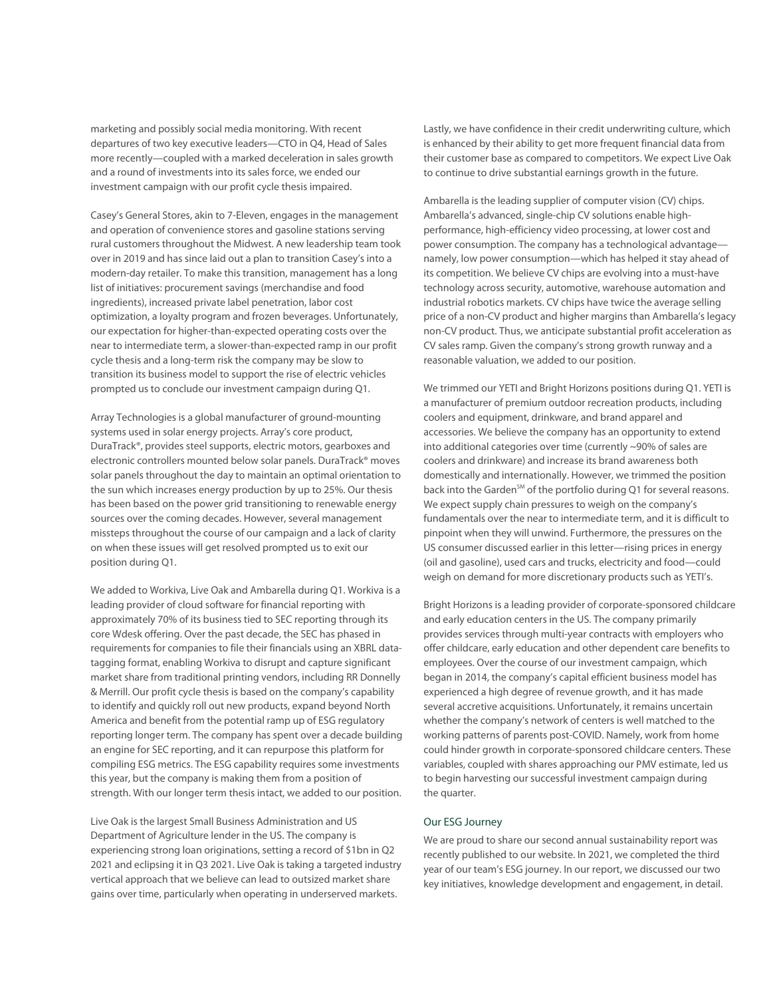marketing and possibly social media monitoring. With recent departures of two key executive leaders—CTO in Q4, Head of Sales more recently—coupled with a marked deceleration in sales growth and a round of investments into its sales force, we ended our investment campaign with our profit cycle thesis impaired.

Casey's General Stores, akin to 7-Eleven, engages in the management and operation of convenience stores and gasoline stations serving rural customers throughout the Midwest. A new leadership team took over in 2019 and has since laid out a plan to transition Casey's into a modern-day retailer. To make this transition, management has a long list of initiatives: procurement savings (merchandise and food ingredients), increased private label penetration, labor cost optimization, a loyalty program and frozen beverages. Unfortunately, our expectation for higher-than-expected operating costs over the near to intermediate term, a slower-than-expected ramp in our profit cycle thesis and a long-term risk the company may be slow to transition its business model to support the rise of electric vehicles prompted us to conclude our investment campaign during Q1.

Array Technologies is a global manufacturer of ground-mounting systems used in solar energy projects. Array's core product, DuraTrack®, provides steel supports, electric motors, gearboxes and electronic controllers mounted below solar panels. DuraTrack® moves solar panels throughout the day to maintain an optimal orientation to the sun which increases energy production by up to 25%. Our thesis has been based on the power grid transitioning to renewable energy sources over the coming decades. However, several management missteps throughout the course of our campaign and a lack of clarity on when these issues will get resolved prompted us to exit our position during Q1.

We added to Workiva, Live Oak and Ambarella during Q1. Workiva is a leading provider of cloud software for financial reporting with approximately 70% of its business tied to SEC reporting through its core Wdesk offering. Over the past decade, the SEC has phased in requirements for companies to file their financials using an XBRL datatagging format, enabling Workiva to disrupt and capture significant market share from traditional printing vendors, including RR Donnelly & Merrill. Our profit cycle thesis is based on the company's capability to identify and quickly roll out new products, expand beyond North America and benefit from the potential ramp up of ESG regulatory reporting longer term. The company has spent over a decade building an engine for SEC reporting, and it can repurpose this platform for compiling ESG metrics. The ESG capability requires some investments this year, but the company is making them from a position of strength. With our longer term thesis intact, we added to our position.

Live Oak is the largest Small Business Administration and US Department of Agriculture lender in the US. The company is experiencing strong loan originations, setting a record of \$1bn in Q2 2021 and eclipsing it in Q3 2021. Live Oak is taking a targeted industry vertical approach that we believe can lead to outsized market share gains over time, particularly when operating in underserved markets.

Lastly, we have confidence in their credit underwriting culture, which is enhanced by their ability to get more frequent financial data from their customer base as compared to competitors. We expect Live Oak to continue to drive substantial earnings growth in the future.

Ambarella is the leading supplier of computer vision (CV) chips. Ambarella's advanced, single-chip CV solutions enable highperformance, high-efficiency video processing, at lower cost and power consumption. The company has a technological advantage namely, low power consumption—which has helped it stay ahead of its competition. We believe CV chips are evolving into a must-have technology across security, automotive, warehouse automation and industrial robotics markets. CV chips have twice the average selling price of a non-CV product and higher margins than Ambarella's legacy non-CV product. Thus, we anticipate substantial profit acceleration as CV sales ramp. Given the company's strong growth runway and a reasonable valuation, we added to our position.

We trimmed our YETI and Bright Horizons positions during Q1. YETI is a manufacturer of premium outdoor recreation products, including coolers and equipment, drinkware, and brand apparel and accessories. We believe the company has an opportunity to extend into additional categories over time (currently ~90% of sales are coolers and drinkware) and increase its brand awareness both domestically and internationally. However, we trimmed the position back into the Garden<sup>SM</sup> of the portfolio during Q1 for several reasons. We expect supply chain pressures to weigh on the company's fundamentals over the near to intermediate term, and it is difficult to pinpoint when they will unwind. Furthermore, the pressures on the US consumer discussed earlier in this letter—rising prices in energy (oil and gasoline), used cars and trucks, electricity and food—could weigh on demand for more discretionary products such as YETI's.

Bright Horizons is a leading provider of corporate-sponsored childcare and early education centers in the US. The company primarily provides services through multi-year contracts with employers who offer childcare, early education and other dependent care benefits to employees. Over the course of our investment campaign, which began in 2014, the company's capital efficient business model has experienced a high degree of revenue growth, and it has made several accretive acquisitions. Unfortunately, it remains uncertain whether the company's network of centers is well matched to the working patterns of parents post-COVID. Namely, work from home could hinder growth in corporate-sponsored childcare centers. These variables, coupled with shares approaching our PMV estimate, led us to begin harvesting our successful investment campaign during the quarter.

# Our ESG Journey

We are proud to share our second annual sustainability report was recently published to our website. In 2021, we completed the third year of our team's ESG journey. In our report, we discussed our two key initiatives, knowledge development and engagement, in detail.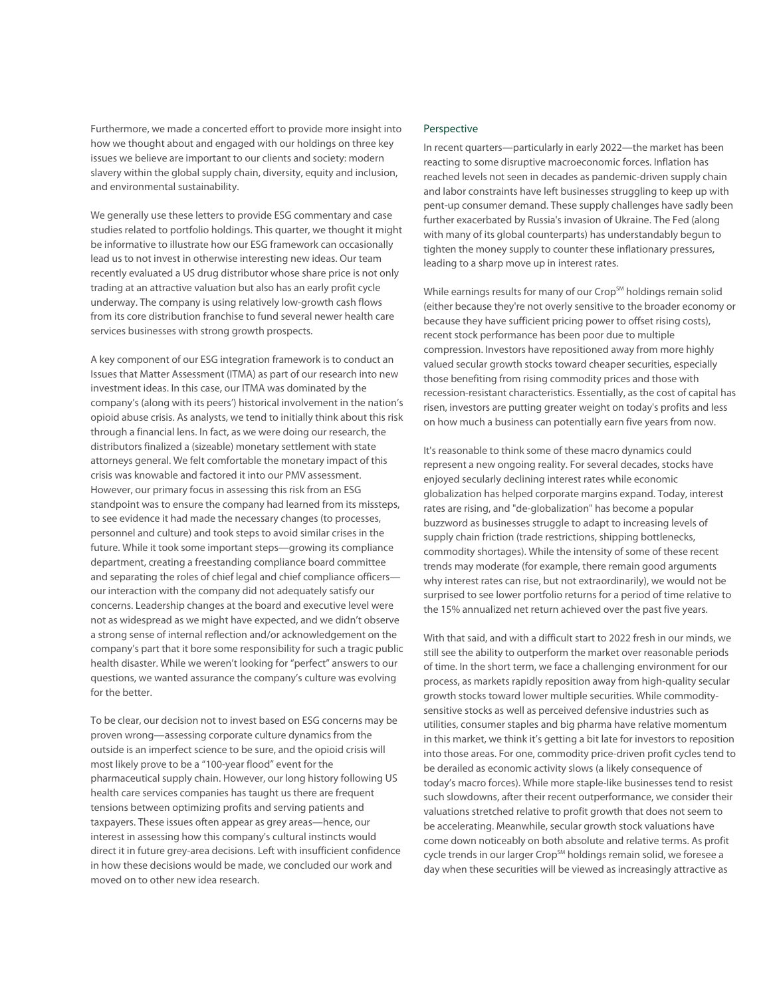Furthermore, we made a concerted effort to provide more insight into how we thought about and engaged with our holdings on three key issues we believe are important to our clients and society: modern slavery within the global supply chain, diversity, equity and inclusion, and environmental sustainability.

We generally use these letters to provide ESG commentary and case studies related to portfolio holdings. This quarter, we thought it might be informative to illustrate how our ESG framework can occasionally lead us to not invest in otherwise interesting new ideas. Our team recently evaluated a US drug distributor whose share price is not only trading at an attractive valuation but also has an early profit cycle underway. The company is using relatively low-growth cash flows from its core distribution franchise to fund several newer health care services businesses with strong growth prospects.

A key component of our ESG integration framework is to conduct an Issues that Matter Assessment (ITMA) as part of our research into new investment ideas. In this case, our ITMA was dominated by the company's (along with its peers') historical involvement in the nation's opioid abuse crisis. As analysts, we tend to initially think about this risk through a financial lens. In fact, as we were doing our research, the distributors finalized a (sizeable) monetary settlement with state attorneys general. We felt comfortable the monetary impact of this crisis was knowable and factored it into our PMV assessment. However, our primary focus in assessing this risk from an ESG standpoint was to ensure the company had learned from its missteps, to see evidence it had made the necessary changes (to processes, personnel and culture) and took steps to avoid similar crises in the future. While it took some important steps—growing its compliance department, creating a freestanding compliance board committee and separating the roles of chief legal and chief compliance officers our interaction with the company did not adequately satisfy our concerns. Leadership changes at the board and executive level were not as widespread as we might have expected, and we didn't observe a strong sense of internal reflection and/or acknowledgement on the company's part that it bore some responsibility for such a tragic public health disaster. While we weren't looking for "perfect" answers to our questions, we wanted assurance the company's culture was evolving for the better.

To be clear, our decision not to invest based on ESG concerns may be proven wrong—assessing corporate culture dynamics from the outside is an imperfect science to be sure, and the opioid crisis will most likely prove to be a "100-year flood" event for the pharmaceutical supply chain. However, our long history following US health care services companies has taught us there are frequent tensions between optimizing profits and serving patients and taxpayers. These issues often appear as grey areas—hence, our interest in assessing how this company's cultural instincts would direct it in future grey-area decisions. Left with insufficient confidence in how these decisions would be made, we concluded our work and moved on to other new idea research.

## Perspective

In recent quarters—particularly in early 2022—the market has been reacting to some disruptive macroeconomic forces. Inflation has reached levels not seen in decades as pandemic-driven supply chain and labor constraints have left businesses struggling to keep up with pent-up consumer demand. These supply challenges have sadly been further exacerbated by Russia's invasion of Ukraine. The Fed (along with many of its global counterparts) has understandably begun to tighten the money supply to counter these inflationary pressures, leading to a sharp move up in interest rates.

While earnings results for many of our Crop<sup>SM</sup> holdings remain solid (either because they're not overly sensitive to the broader economy or because they have sufficient pricing power to offset rising costs), recent stock performance has been poor due to multiple compression. Investors have repositioned away from more highly valued secular growth stocks toward cheaper securities, especially those benefiting from rising commodity prices and those with recession-resistant characteristics. Essentially, as the cost of capital has risen, investors are putting greater weight on today's profits and less on how much a business can potentially earn five years from now.

It's reasonable to think some of these macro dynamics could represent a new ongoing reality. For several decades, stocks have enjoyed secularly declining interest rates while economic globalization has helped corporate margins expand. Today, interest rates are rising, and "de-globalization" has become a popular buzzword as businesses struggle to adapt to increasing levels of supply chain friction (trade restrictions, shipping bottlenecks, commodity shortages). While the intensity of some of these recent trends may moderate (for example, there remain good arguments why interest rates can rise, but not extraordinarily), we would not be surprised to see lower portfolio returns for a period of time relative to the 15% annualized net return achieved over the past five years.

With that said, and with a difficult start to 2022 fresh in our minds, we still see the ability to outperform the market over reasonable periods of time. In the short term, we face a challenging environment for our process, as markets rapidly reposition away from high-quality secular growth stocks toward lower multiple securities. While commoditysensitive stocks as well as perceived defensive industries such as utilities, consumer staples and big pharma have relative momentum in this market, we think it's getting a bit late for investors to reposition into those areas. For one, commodity price-driven profit cycles tend to be derailed as economic activity slows (a likely consequence of today's macro forces). While more staple-like businesses tend to resist such slowdowns, after their recent outperformance, we consider their valuations stretched relative to profit growth that does not seem to be accelerating. Meanwhile, secular growth stock valuations have come down noticeably on both absolute and relative terms. As profit cycle trends in our larger Crop<sup>SM</sup> holdings remain solid, we foresee a day when these securities will be viewed as increasingly attractive as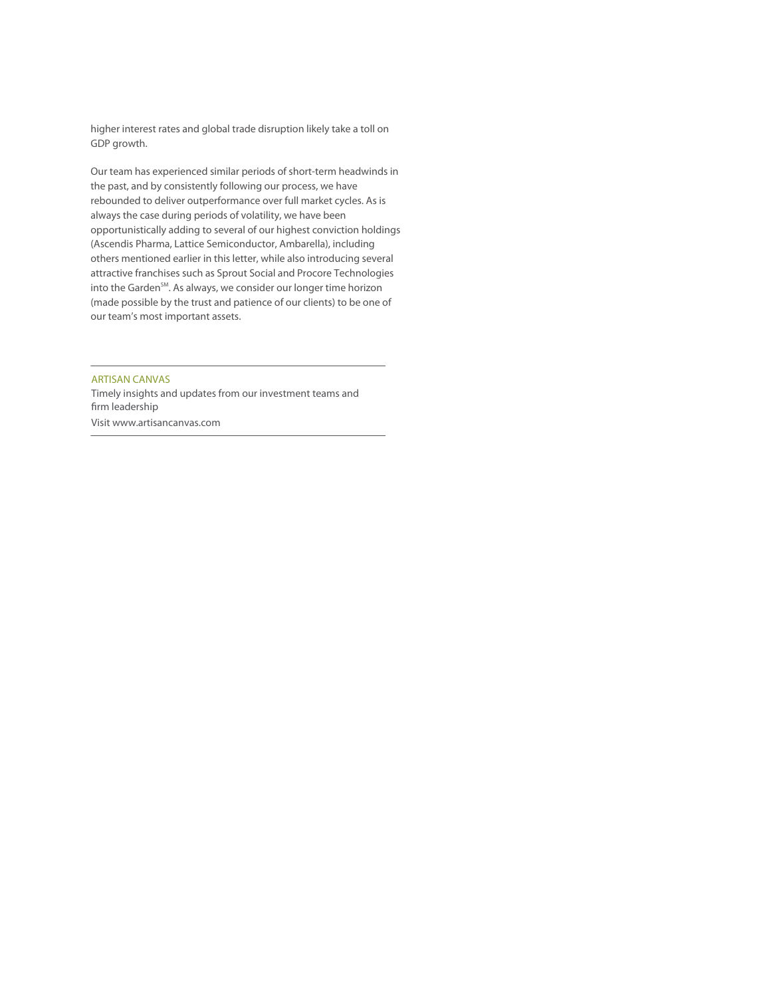higher interest rates and global trade disruption likely take a toll on GDP growth.

Our team has experienced similar periods of short-term headwinds in the past, and by consistently following our process, we have rebounded to deliver outperformance over full market cycles. As is always the case during periods of volatility, we have been opportunistically adding to several of our highest conviction holdings (Ascendis Pharma, Lattice Semiconductor, Ambarella), including others mentioned earlier in this letter, while also introducing several attractive franchises such as Sprout Social and Procore Technologies into the Garden<sup>SM</sup>. As always, we consider our longer time horizon (made possible by the trust and patience of our clients) to be one of our team's most important assets.

ARTISAN CANVAS

Timely insights and updates from our investment teams and firm leadership Visit www.artisancanvas.com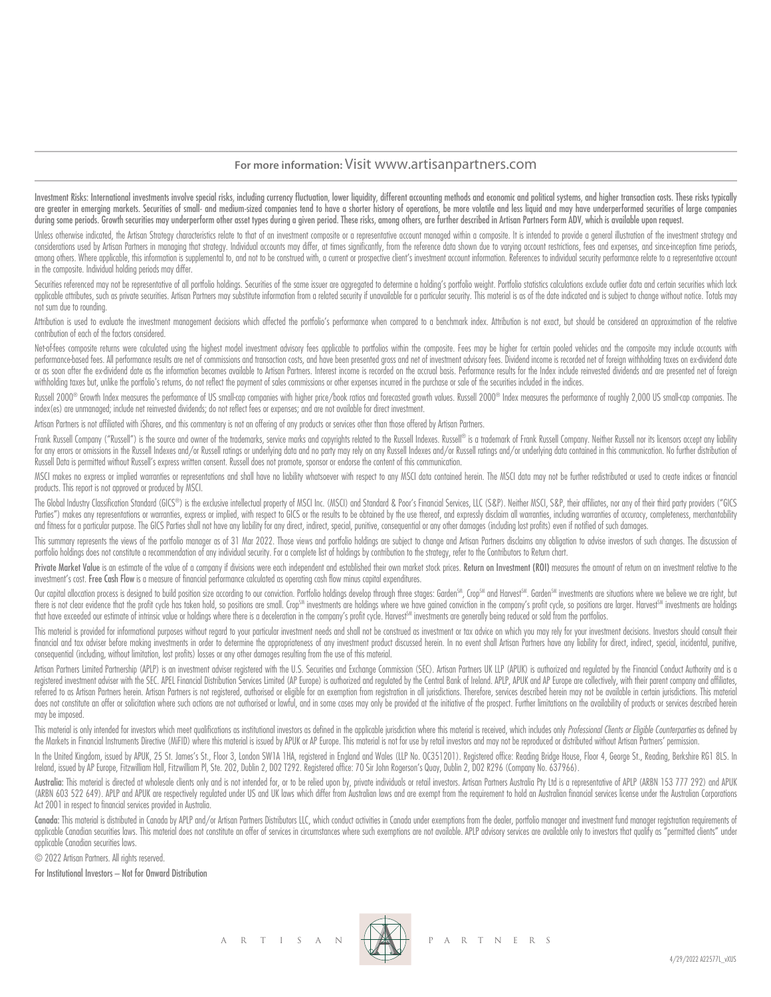# **For more information:** Visit www.artisanpartners.com

Investment Risks: International investments involve special risks, including currency fluctuation, lower liquidity, different accounting methods and economic and political systems, and higher transaction costs. These risks are greater in emerging markets. Securities of small- and medium-sized companies tend to have a shorter history of operations, be more volatile and less liquid and may have underperformed securities of large companies during some periods. Growth securities may underperform other asset types during a given period. These risks, among others, are further described in Artisan Partners Form ADV, which is available upon request.

Unless otherwise indicated, the Artisan Strategy characteristics relate to that of an investment composite or a representative account managed within a composite. It is intended to provide a general illustration of the inv considerations used by Artisan Partners in managing that strategy, Individual accounts may differ, at times significantly, from the reference data shown due to varying account restrictions, fees and expenses, and since inc among others. Where applicable, this information is supplemental to, and not to be construed with, a current or prospective client's investment account information. References to individual security performance relate to a in the composite. Individual holding periods may differ.

Securities referenced may not be representative of all portfolio holdings. Securities of the same issuer are aggregated to determine a holding's portfolio weight. Portfolio statistics calculations exclude outlier data and applicable attributes, such as private securities. Artisan Partners may substitute information from a related security if unavailable for a particular security. This material is as of the date indicated and is subject to c not sum due to rounding.

Attribution is used to evaluate the investment management decisions which affected the portfolio's performance when compared to a benchmark index. Attribution is not exact, but should be considered an approximation of the contribution of each of the factors considered.

Net-of-fees composite returns were calculated using the highest model investment advisory fees applicable to portfolios within the composite. Fees may be higher for certain pooled vehicles and the composite may include acc performance based fees. All performance results are net of commissions and transaction costs, and have been presented aross and net of investment advisory fees. Dividend income is recorded net of foreian withholding taxes or as soon after the ex-dividend date as the information becomes available to Artisan Partners. Interest income is recorded on the accrual basis. Performance results for the Index include reinvested dividends and are prese withholding taxes but, unlike the portfolio's returns, do not reflect the payment of sales commissions or other expenses incurred in the purchase or sale of the securities included in the indices.

Russell 2000® Growth Index measures the performance of US small-cap companies with higher price/book ratios and forecasted growth values. Russell 2000® Index measures the performance of roughly 2,000 US small-cap companies index(es) are unmanaged; include net reinvested dividends; do not reflect fees or expenses; and are not available for direct investment.

Artisan Partners is not affiliated with iShares, and this commentary is not an offering of any products or services other than those offered by Artisan Partners.

Frank Russell Company ("Russell") is the source and owner of the trademarks, service marks and copyrights related to the Russell Indexes. Russell® is a trademark of Frank Russell Company. Neither Russell nor its licensors for any errors or omissions in the Russell Indexes and/or Russell ratings or underlying data and no party may rely on any Russell Indexes and/or Russell ratings and/or underlying data contained in this communication. No fu Russell Data is permitted without Russell's express written consent. Russell does not promote, sponsor or endorse the content of this communication.

MSCI makes no express or implied warranties or representations and shall have no liability whatsoever with respect to any MSCI data contained herein. The MSCI data may not be further redistributed or used to create indices products. This report is not approved or produced by MSCI.

The Global Industry Classification Standard (GICS®) is the exclusive intellectual property of MSCI Inc. (MSCI) and Standard & Poor's Financial Services, LLC (S&P). Neither MSCI, S&P, their affiliates, nor any of their thir Parties") makes any representations or warranties, express or implied, with respect to GICS or the results to be obtained by the use thereof, and expressly disclaim all warranties, including warranties of accuracy, complet and fitness for a particular purpose. The GICS Parties shall not have any liability for any direct, indirect, special, punitive, consequential or any other damages (including lost profits) even if notified of such damages.

This summary represents the views of the portfolio manager as of 31 Mar 2022. Those views and portfolio holdings are subject to change and Artisan Partners disclaims any obligation to advise investors of such changes. The portfolio holdings does not constitute a recommendation of any individual security. For a complete list of holdings by contribution to the strategy, refer to the Contributors to Return chart.

Private Market Value is an estimate of the value of a company if divisions were each independent and established their own market stock prices. Return on Investment (ROI) measures the amount of return on an investment rela investment's cost. Free Cash Flow is a measure of financial performance calculated as operating cash flow minus capital expenditures.

Our capital allocation process is designed to build position size according to our conviction. Portfolio holdings develop through three stages: Garden<sup>SM</sup>, Crop<sup>SM</sup> and Harvest<sup>SM</sup>. Garden<sup>SM</sup> investments are situations wh there is not clear evidence that the profit cycle has taken hold, so positions are small. Crop<sup>sm</sup> investments are holdings where we have gained conviction in the company's profit cycle, so positions are larger. Harvest<sup>sm</sup> that have exceeded our estimate of intrinsic value or holdings where there is a deceleration in the company's profit cycle. Harvest™ investments are generally being reduced or sold from the portfolios.

This material is provided for informational purposes without regard to your particular investment needs and shall not be construed as investment or tax advice on which you may rely for your investment decisions. Investors financial and tax adviser before making investments in order to determine the appropriateness of any investment product discussed herein. In no event shall Artisan Partners have any liability for direct, indirect, special, consequential (including, without limitation, lost profits) losses or any other damages resulting from the use of this material.

Artisan Partners Limited Partnership (APLP) is an investment adviser registered with the U.S. Securities and Exchange Commission (SEC). Artisan Partners UK LLP (APUK) is authorized and regulated by the Financial Conduct Au registered investment adviser with the SEC. APEL Financial Distribution Services Limited (AP Europe) is authorized and regulated by the Central Bank of Ireland. APLP, APUK and AP Europe are collectively, with their parent referred to as Artisan Partners herein. Artisan Partners is not registered, authorised or eligible for an exemption from registration in all jurisdictions. Therefore, services described herein may not be available in certa does not constitute an offer or solicitation where such actions are not authorised or lawful, and in some cases may only be provided at the initiative of the prospect. Further limitations on the availability of products or may be imposed.

This material is only intended for investors which meet qualifications as institutional investors as defined in the applicable jurisdiction where this material is received, which includes only Professional Clients or Eligi the Markets in Financial Instruments Directive (MiFID) where this material is issued by APUK or AP Europe. This material is not for use by retail investors and may not be reproduced or distributed without Artisan Partners'

In the United Kingdom, issued by APUK, 25 St. James's St., Floor 3, London SW1A 1HA, registered in England and Wales (LLP No. OC351201). Registered office: Reading Bridge House, Floor 4, George St., Reading, Berkshire RG1 Ireland, issued by AP Europe, Fitzwilliam Hall, Fitzwilliam Pl, Ste. 202, Dublin 2, D02 T292. Registered office: 70 Sir John Rogerson's Quay, Dublin 2, D02 R296 (Company No. 637966).

Australia: This material is directed at wholesale clients only and is not intended for, or to be relied upon by, private individuals or retail investors. Artisan Partnes Australia Pty Ltd is a representative of APLP (ARBN (ARBN 603 522 649). APLP and APUK are respectively regulated under US and UK laws which differ from Australian laws and are exempt from the requirement to hold an Australian financial services license under the Australian Act 2001 in respect to financial services provided in Australia.

Canada: This material is distributed in Canada by APLP and/or Artisan Partners Distributors LLC, which conduct activities in Canada under exemptions from the dealer, portfolio manager and investment fund manager registrati applicable Canadian securities laws. This material does not constitute an offer of services in circumstances where such exemptions are not available. APLP advisory services are available only to investors that quality as " applicable Canadian securities laws.

© 2022 Artisan Partners. All rights reserved.

For Institutional Investors – Not for Onward Distribution